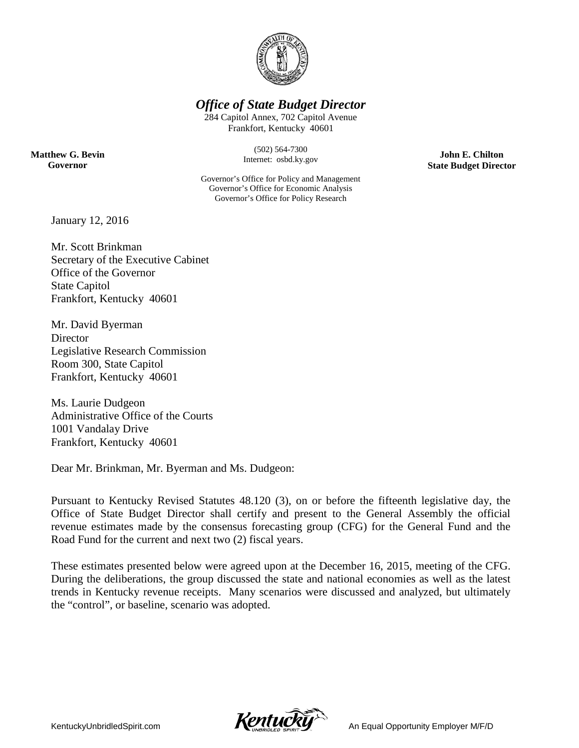

### *Office of State Budget Director*

284 Capitol Annex, 702 Capitol Avenue Frankfort, Kentucky 40601

**Matthew G. Bevin Governor**

(502) 564-7300 Internet: osbd.ky.gov

Governor's Office for Policy and Management Governor's Office for Economic Analysis Governor's Office for Policy Research

**John E. Chilton State Budget Director**

January 12, 2016

Mr. Scott Brinkman Secretary of the Executive Cabinet Office of the Governor State Capitol Frankfort, Kentucky 40601

Mr. David Byerman **Director** Legislative Research Commission Room 300, State Capitol Frankfort, Kentucky 40601

Ms. Laurie Dudgeon Administrative Office of the Courts 1001 Vandalay Drive Frankfort, Kentucky 40601

Dear Mr. Brinkman, Mr. Byerman and Ms. Dudgeon:

Pursuant to Kentucky Revised Statutes 48.120 (3), on or before the fifteenth legislative day, the Office of State Budget Director shall certify and present to the General Assembly the official revenue estimates made by the consensus forecasting group (CFG) for the General Fund and the Road Fund for the current and next two (2) fiscal years.

These estimates presented below were agreed upon at the December 16, 2015, meeting of the CFG. During the deliberations, the group discussed the state and national economies as well as the latest trends in Kentucky revenue receipts. Many scenarios were discussed and analyzed, but ultimately the "control", or baseline, scenario was adopted.

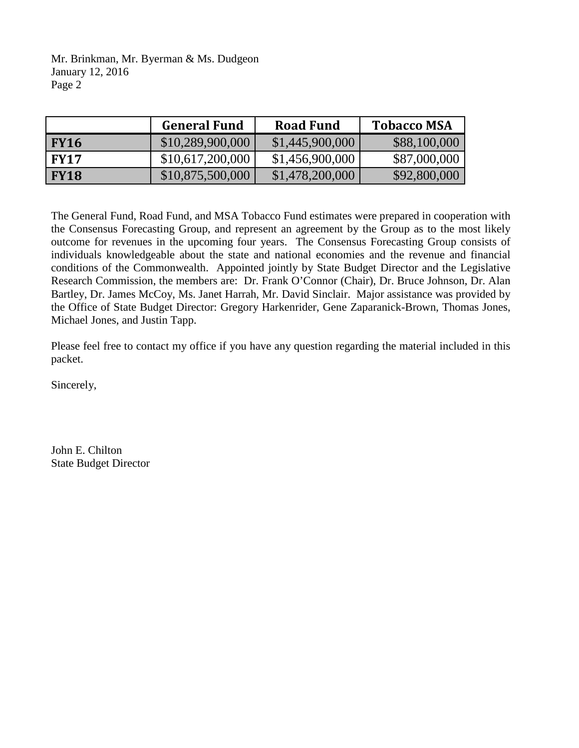Mr. Brinkman, Mr. Byerman & Ms. Dudgeon January 12, 2016 Page 2

|             | <b>General Fund</b> | <b>Road Fund</b> | <b>Tobacco MSA</b> |
|-------------|---------------------|------------------|--------------------|
| <b>FY16</b> | \$10,289,900,000    | \$1,445,900,000  | \$88,100,000       |
| <b>FY17</b> | \$10,617,200,000    | \$1,456,900,000  | \$87,000,000       |
| <b>FY18</b> | \$10,875,500,000    | \$1,478,200,000  | \$92,800,000       |

The General Fund, Road Fund, and MSA Tobacco Fund estimates were prepared in cooperation with the Consensus Forecasting Group, and represent an agreement by the Group as to the most likely outcome for revenues in the upcoming four years. The Consensus Forecasting Group consists of individuals knowledgeable about the state and national economies and the revenue and financial conditions of the Commonwealth. Appointed jointly by State Budget Director and the Legislative Research Commission, the members are: Dr. Frank O'Connor (Chair), Dr. Bruce Johnson, Dr. Alan Bartley, Dr. James McCoy, Ms. Janet Harrah, Mr. David Sinclair. Major assistance was provided by the Office of State Budget Director: Gregory Harkenrider, Gene Zaparanick-Brown, Thomas Jones, Michael Jones, and Justin Tapp.

Please feel free to contact my office if you have any question regarding the material included in this packet.

Sincerely,

John E. Chilton State Budget Director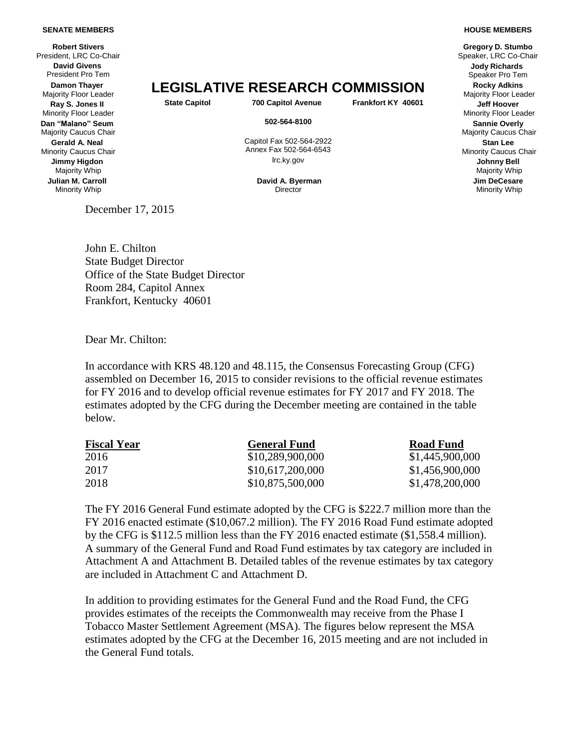#### **SENATE MEMBERS**

**Robert Stivers**<br>President. LRC Co-Chair **David Givens** President Pro Tem **Damon Thayer Ray S. Jones II** Minority Floor Leader **Dan "Malano" Seum** Majority Caucus Chair **Gerald A. Neal** Minority Caucus Chair **Jimmy Higdon** Majority Whip **Julian M. Carroll** Minority Whip

# **Damon Thayer**<br>Majority Floor Leader **LEGISLATIVE RESEARCH COMMISSION** Ray State Capitol **State Capitol 700 Capitol Avenue Frankfort KY 40601** Jeff Hoover

**State Capitol 700 Capitol Avenue Frankfort KY 40601 Jeff Hoover**

Capitol Fax 502-564-2922 Annex Fax 502-564-6543 lrc.ky.gov **Johnny Bell**

**David A. Byerman Director** 

December 17, 2015

Speaker, LRC Co-Chair **Jody Richards** Speaker Pro Tem Majority Floor Leader Minority Floor Leader **502-564-8100 Sannie Overly** Majority Caucus Chair **Stan Lee** Minority Caucus Chair Majority Whip **Jim DeCesare** Minority Whip

John E. Chilton State Budget Director Office of the State Budget Director Room 284, Capitol Annex Frankfort, Kentucky 40601

Dear Mr. Chilton:

In accordance with KRS 48.120 and 48.115, the Consensus Forecasting Group (CFG) assembled on December 16, 2015 to consider revisions to the official revenue estimates for FY 2016 and to develop official revenue estimates for FY 2017 and FY 2018. The estimates adopted by the CFG during the December meeting are contained in the table below.

| <b>General Fund</b> | <b>Road Fund</b> |
|---------------------|------------------|
| \$10,289,900,000    | \$1,445,900,000  |
| \$10,617,200,000    | \$1,456,900,000  |
| \$10,875,500,000    | \$1,478,200,000  |
|                     |                  |

The FY 2016 General Fund estimate adopted by the CFG is \$222.7 million more than the FY 2016 enacted estimate (\$10,067.2 million). The FY 2016 Road Fund estimate adopted by the CFG is \$112.5 million less than the FY 2016 enacted estimate (\$1,558.4 million). A summary of the General Fund and Road Fund estimates by tax category are included in Attachment A and Attachment B. Detailed tables of the revenue estimates by tax category are included in Attachment C and Attachment D.

In addition to providing estimates for the General Fund and the Road Fund, the CFG provides estimates of the receipts the Commonwealth may receive from the Phase I Tobacco Master Settlement Agreement (MSA). The figures below represent the MSA estimates adopted by the CFG at the December 16, 2015 meeting and are not included in the General Fund totals.

#### **HOUSE MEMBERS Gregory D. Stumbo**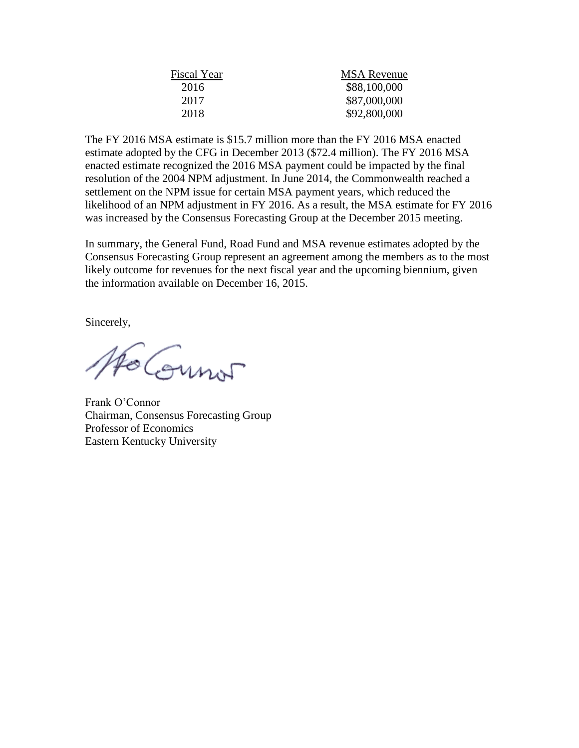| Fiscal Year | <b>MSA</b> Revenue |  |  |  |
|-------------|--------------------|--|--|--|
| 2016        | \$88,100,000       |  |  |  |
| 2017        | \$87,000,000       |  |  |  |
| 2018        | \$92,800,000       |  |  |  |
|             |                    |  |  |  |

The FY 2016 MSA estimate is \$15.7 million more than the FY 2016 MSA enacted estimate adopted by the CFG in December 2013 (\$72.4 million). The FY 2016 MSA enacted estimate recognized the 2016 MSA payment could be impacted by the final resolution of the 2004 NPM adjustment. In June 2014, the Commonwealth reached a settlement on the NPM issue for certain MSA payment years, which reduced the likelihood of an NPM adjustment in FY 2016. As a result, the MSA estimate for FY 2016 was increased by the Consensus Forecasting Group at the December 2015 meeting.

In summary, the General Fund, Road Fund and MSA revenue estimates adopted by the Consensus Forecasting Group represent an agreement among the members as to the most likely outcome for revenues for the next fiscal year and the upcoming biennium, given the information available on December 16, 2015.

Sincerely,

Ho Count

Frank O'Connor Chairman, Consensus Forecasting Group Professor of Economics Eastern Kentucky University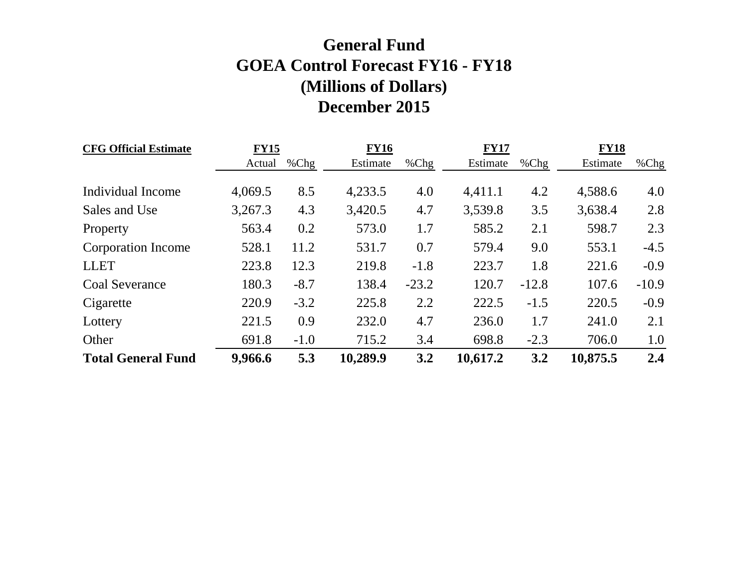## **General Fund GOEA Control Forecast FY16 - FY18 (Millions of Dollars) December 2015**

| <b>CFG Official Estimate</b> | <b>FY15</b> |         | <b>FY16</b> |         |          |         | <b>FY18</b> |         |
|------------------------------|-------------|---------|-------------|---------|----------|---------|-------------|---------|
|                              | Actual      | $%$ Chg | Estimate    | % $Chg$ | Estimate | $%$ Chg | Estimate    | %Chg    |
|                              |             |         |             |         |          |         |             |         |
| Individual Income            | 4,069.5     | 8.5     | 4,233.5     | 4.0     | 4,411.1  | 4.2     | 4,588.6     | 4.0     |
| Sales and Use                | 3,267.3     | 4.3     | 3,420.5     | 4.7     | 3,539.8  | 3.5     | 3,638.4     | 2.8     |
| Property                     | 563.4       | 0.2     | 573.0       | 1.7     | 585.2    | 2.1     | 598.7       | 2.3     |
| Corporation Income           | 528.1       | 11.2    | 531.7       | 0.7     | 579.4    | 9.0     | 553.1       | $-4.5$  |
| <b>LLET</b>                  | 223.8       | 12.3    | 219.8       | $-1.8$  | 223.7    | 1.8     | 221.6       | $-0.9$  |
| <b>Coal Severance</b>        | 180.3       | $-8.7$  | 138.4       | $-23.2$ | 120.7    | $-12.8$ | 107.6       | $-10.9$ |
| Cigarette                    | 220.9       | $-3.2$  | 225.8       | 2.2     | 222.5    | $-1.5$  | 220.5       | $-0.9$  |
| Lottery                      | 221.5       | 0.9     | 232.0       | 4.7     | 236.0    | 1.7     | 241.0       | 2.1     |
| Other                        | 691.8       | $-1.0$  | 715.2       | 3.4     | 698.8    | $-2.3$  | 706.0       | 1.0     |
| <b>Total General Fund</b>    | 9,966.6     | 5.3     | 10,289.9    | 3.2     | 10,617.2 | 3.2     | 10,875.5    | 2.4     |